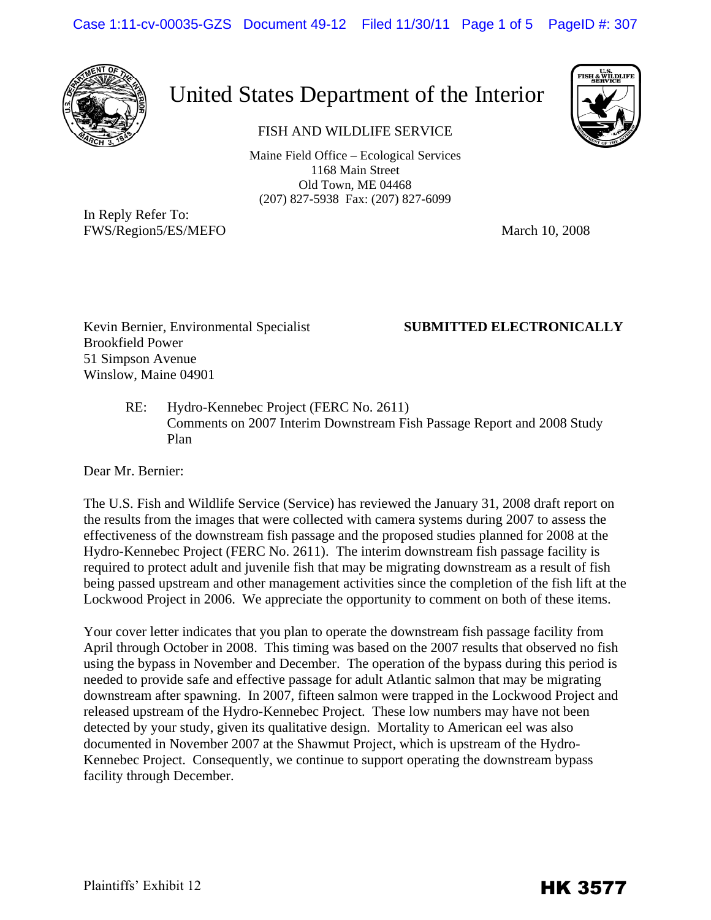Case 1:11-cv-00035-GZS Document 49-12 Filed 11/30/11 Page 1 of 5 PageID #: 307



## United States Department of the Interior

FISH AND WILDLIFE SERVICE

Maine Field Office – Ecological Services 1168 Main Street Old Town, ME 04468 (207) 827-5938 Fax: (207) 827-6099

In Reply Refer To: FWS/Region5/ES/MEFO March 10, 2008

Kevin Bernier, Environmental Specialist **SUBMITTED ELECTRONICALLY**  Brookfield Power 51 Simpson Avenue Winslow, Maine 04901

RE: Hydro-Kennebec Project (FERC No. 2611) Comments on 2007 Interim Downstream Fish Passage Report and 2008 Study Plan

Dear Mr. Bernier:

The U.S. Fish and Wildlife Service (Service) has reviewed the January 31, 2008 draft report on the results from the images that were collected with camera systems during 2007 to assess the effectiveness of the downstream fish passage and the proposed studies planned for 2008 at the Hydro-Kennebec Project (FERC No. 2611). The interim downstream fish passage facility is required to protect adult and juvenile fish that may be migrating downstream as a result of fish being passed upstream and other management activities since the completion of the fish lift at the Lockwood Project in 2006. We appreciate the opportunity to comment on both of these items.

Your cover letter indicates that you plan to operate the downstream fish passage facility from April through October in 2008. This timing was based on the 2007 results that observed no fish using the bypass in November and December. The operation of the bypass during this period is needed to provide safe and effective passage for adult Atlantic salmon that may be migrating downstream after spawning. In 2007, fifteen salmon were trapped in the Lockwood Project and released upstream of the Hydro-Kennebec Project. These low numbers may have not been detected by your study, given its qualitative design. Mortality to American eel was also documented in November 2007 at the Shawmut Project, which is upstream of the Hydro-Kennebec Project. Consequently, we continue to support operating the downstream bypass facility through December.

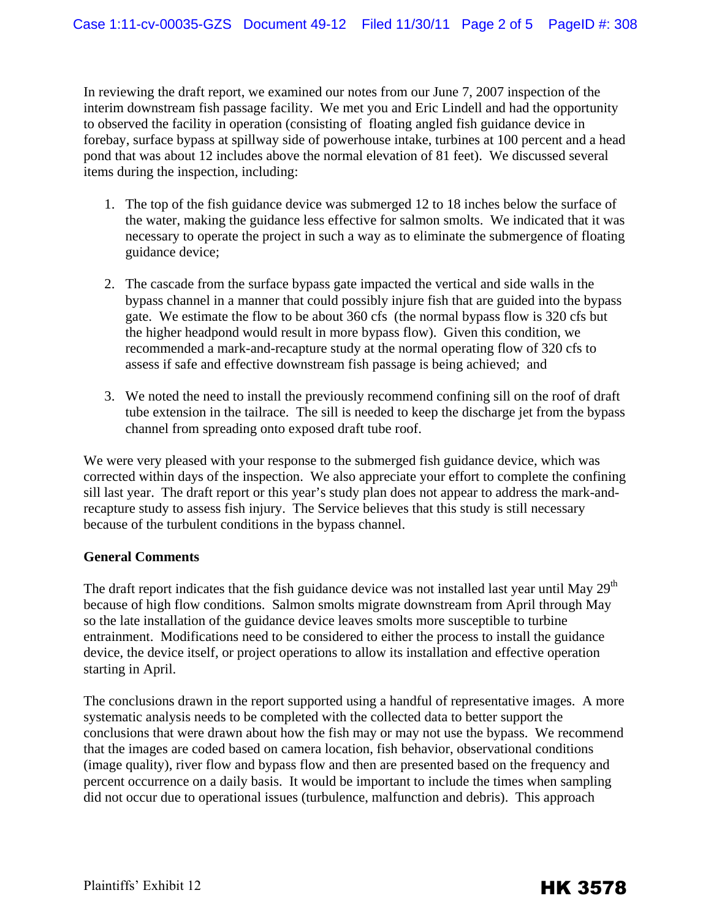In reviewing the draft report, we examined our notes from our June 7, 2007 inspection of the interim downstream fish passage facility. We met you and Eric Lindell and had the opportunity to observed the facility in operation (consisting of floating angled fish guidance device in forebay, surface bypass at spillway side of powerhouse intake, turbines at 100 percent and a head pond that was about 12 includes above the normal elevation of 81 feet). We discussed several items during the inspection, including:

- 1. The top of the fish guidance device was submerged 12 to 18 inches below the surface of the water, making the guidance less effective for salmon smolts. We indicated that it was necessary to operate the project in such a way as to eliminate the submergence of floating guidance device;
- 2. The cascade from the surface bypass gate impacted the vertical and side walls in the bypass channel in a manner that could possibly injure fish that are guided into the bypass gate. We estimate the flow to be about 360 cfs (the normal bypass flow is 320 cfs but the higher headpond would result in more bypass flow). Given this condition, we recommended a mark-and-recapture study at the normal operating flow of 320 cfs to assess if safe and effective downstream fish passage is being achieved; and
- 3. We noted the need to install the previously recommend confining sill on the roof of draft tube extension in the tailrace. The sill is needed to keep the discharge jet from the bypass channel from spreading onto exposed draft tube roof.

We were very pleased with your response to the submerged fish guidance device, which was corrected within days of the inspection. We also appreciate your effort to complete the confining sill last year. The draft report or this year's study plan does not appear to address the mark-andrecapture study to assess fish injury. The Service believes that this study is still necessary because of the turbulent conditions in the bypass channel.

## **General Comments**

The draft report indicates that the fish guidance device was not installed last year until May  $29<sup>th</sup>$ because of high flow conditions. Salmon smolts migrate downstream from April through May so the late installation of the guidance device leaves smolts more susceptible to turbine entrainment. Modifications need to be considered to either the process to install the guidance device, the device itself, or project operations to allow its installation and effective operation starting in April.

The conclusions drawn in the report supported using a handful of representative images. A more systematic analysis needs to be completed with the collected data to better support the conclusions that were drawn about how the fish may or may not use the bypass. We recommend that the images are coded based on camera location, fish behavior, observational conditions (image quality), river flow and bypass flow and then are presented based on the frequency and percent occurrence on a daily basis. It would be important to include the times when sampling did not occur due to operational issues (turbulence, malfunction and debris). This approach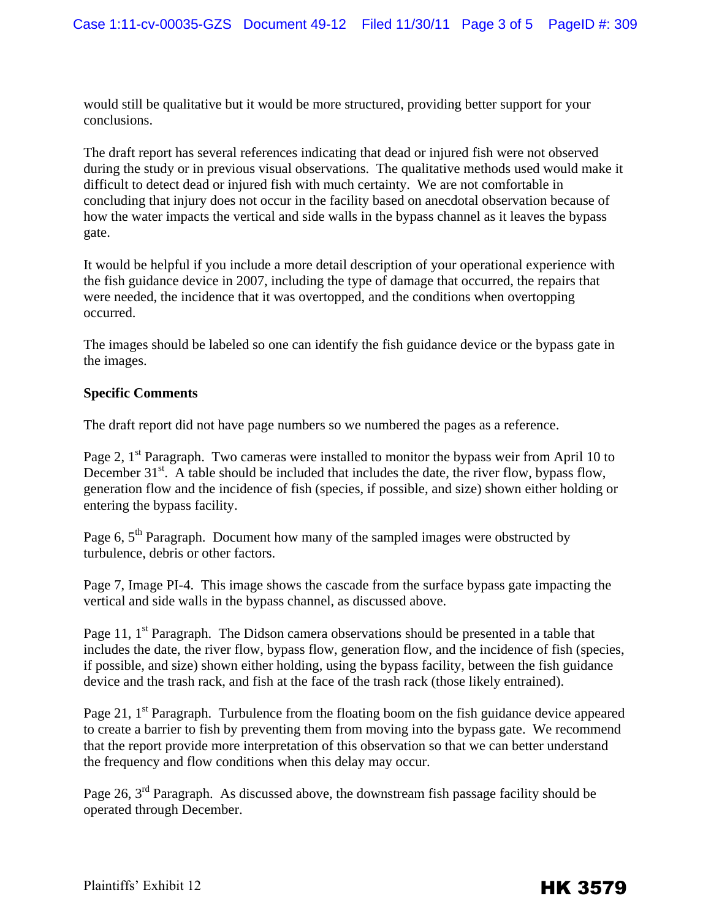would still be qualitative but it would be more structured, providing better support for your conclusions.

The draft report has several references indicating that dead or injured fish were not observed during the study or in previous visual observations. The qualitative methods used would make it difficult to detect dead or injured fish with much certainty. We are not comfortable in concluding that injury does not occur in the facility based on anecdotal observation because of how the water impacts the vertical and side walls in the bypass channel as it leaves the bypass gate.

It would be helpful if you include a more detail description of your operational experience with the fish guidance device in 2007, including the type of damage that occurred, the repairs that were needed, the incidence that it was overtopped, and the conditions when overtopping occurred.

The images should be labeled so one can identify the fish guidance device or the bypass gate in the images.

## **Specific Comments**

The draft report did not have page numbers so we numbered the pages as a reference.

Page 2, 1<sup>st</sup> Paragraph. Two cameras were installed to monitor the bypass weir from April 10 to December  $31^{st}$ . A table should be included that includes the date, the river flow, bypass flow, generation flow and the incidence of fish (species, if possible, and size) shown either holding or entering the bypass facility.

Page 6,  $5<sup>th</sup>$  Paragraph. Document how many of the sampled images were obstructed by turbulence, debris or other factors.

Page 7, Image PI-4. This image shows the cascade from the surface bypass gate impacting the vertical and side walls in the bypass channel, as discussed above.

Page 11, 1<sup>st</sup> Paragraph. The Didson camera observations should be presented in a table that includes the date, the river flow, bypass flow, generation flow, and the incidence of fish (species, if possible, and size) shown either holding, using the bypass facility, between the fish guidance device and the trash rack, and fish at the face of the trash rack (those likely entrained).

Page 21,  $1<sup>st</sup>$  Paragraph. Turbulence from the floating boom on the fish guidance device appeared to create a barrier to fish by preventing them from moving into the bypass gate. We recommend that the report provide more interpretation of this observation so that we can better understand the frequency and flow conditions when this delay may occur.

Page 26, 3<sup>rd</sup> Paragraph. As discussed above, the downstream fish passage facility should be operated through December.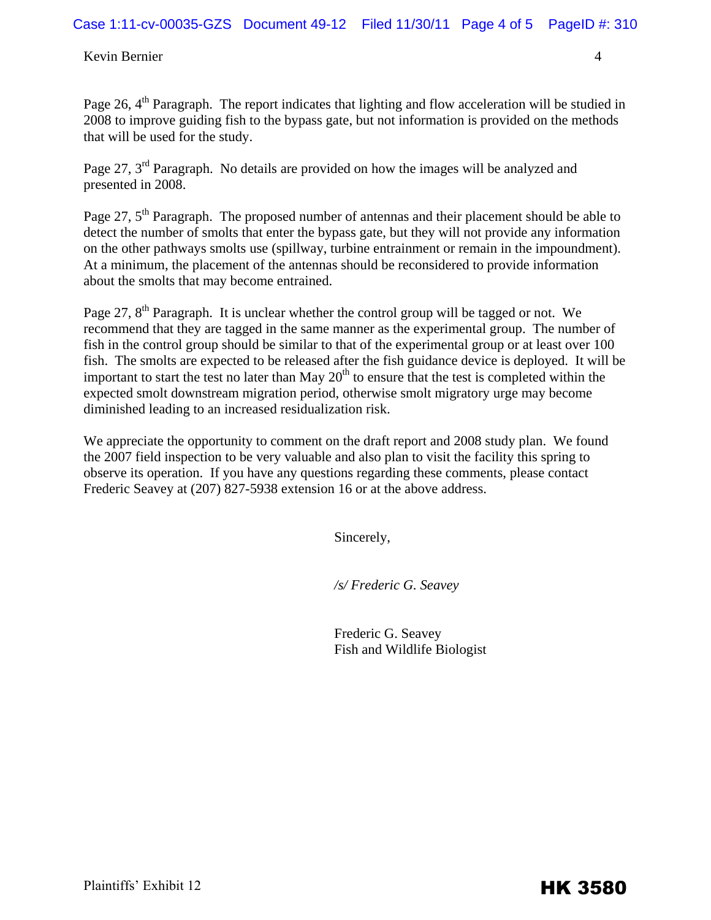Kevin Bernier 4

Page 26, 4<sup>th</sup> Paragraph. The report indicates that lighting and flow acceleration will be studied in 2008 to improve guiding fish to the bypass gate, but not information is provided on the methods that will be used for the study.

Page 27, 3<sup>rd</sup> Paragraph. No details are provided on how the images will be analyzed and presented in 2008.

Page 27, 5<sup>th</sup> Paragraph. The proposed number of antennas and their placement should be able to detect the number of smolts that enter the bypass gate, but they will not provide any information on the other pathways smolts use (spillway, turbine entrainment or remain in the impoundment). At a minimum, the placement of the antennas should be reconsidered to provide information about the smolts that may become entrained.

Page 27, 8<sup>th</sup> Paragraph. It is unclear whether the control group will be tagged or not. We recommend that they are tagged in the same manner as the experimental group. The number of fish in the control group should be similar to that of the experimental group or at least over 100 fish. The smolts are expected to be released after the fish guidance device is deployed. It will be important to start the test no later than May  $20<sup>th</sup>$  to ensure that the test is completed within the expected smolt downstream migration period, otherwise smolt migratory urge may become diminished leading to an increased residualization risk.

We appreciate the opportunity to comment on the draft report and 2008 study plan. We found the 2007 field inspection to be very valuable and also plan to visit the facility this spring to observe its operation. If you have any questions regarding these comments, please contact Frederic Seavey at (207) 827-5938 extension 16 or at the above address.

Sincerely,

*/s/ Frederic G. Seavey* 

 Frederic G. Seavey Fish and Wildlife Biologist